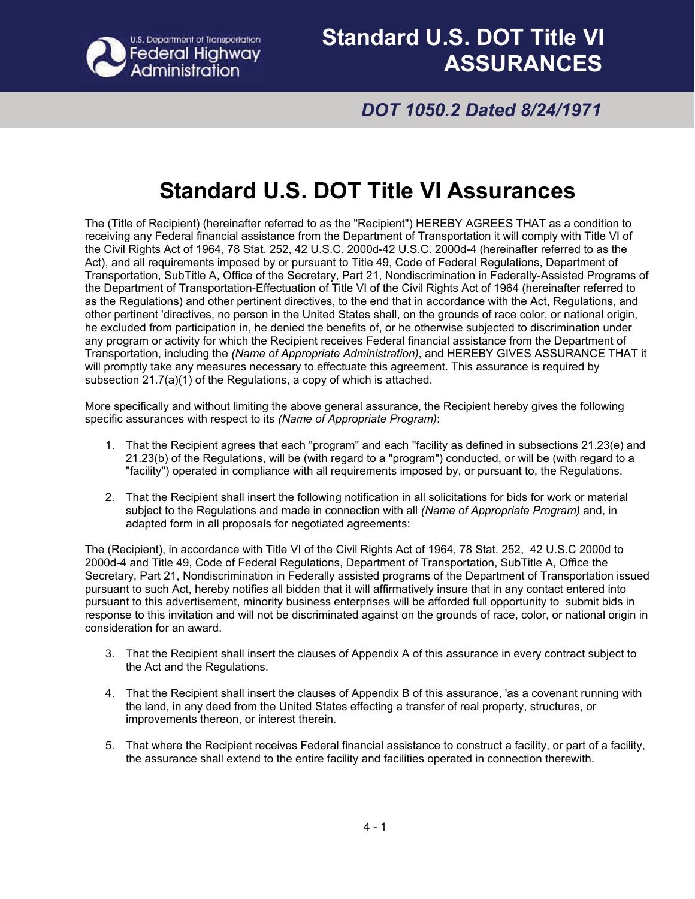

## *DOT 1050.2 Dated 8/24/1971*

# **Standard U.S. DOT Title VI Assurances**

The (Title of Recipient) (hereinafter referred to as the "Recipient") HEREBY AGREES THAT as a condition to receiving any Federal financial assistance from the Department of Transportation it will comply with Title VI of the Civil Rights Act of 1964, 78 Stat. 252, 42 U.S.C. 2000d-42 U.S.C. 2000d-4 (hereinafter referred to as the Act), and all requirements imposed by or pursuant to Title 49, Code of Federal Regulations, Department of Transportation, SubTitle A, Office of the Secretary, Part 21, Nondiscrimination in Federally-Assisted Programs of the Department of Transportation-Effectuation of Title VI of the Civil Rights Act of 1964 (hereinafter referred to as the Regulations) and other pertinent directives, to the end that in accordance with the Act, Regulations, and other pertinent 'directives, no person in the United States shall, on the grounds of race color, or national origin, he excluded from participation in, he denied the benefits of, or he otherwise subjected to discrimination under any program or activity for which the Recipient receives Federal financial assistance from the Department of Transportation, including the *(Name of Appropriate Administration)*, and HEREBY GIVES ASSURANCE THAT it will promptly take any measures necessary to effectuate this agreement. This assurance is required by subsection 21.7(a)(1) of the Regulations, a copy of which is attached.

More specifically and without limiting the above general assurance, the Recipient hereby gives the following specific assurances with respect to its *(Name of Appropriate Program)*:

- 1. That the Recipient agrees that each "program" and each "facility as defined in subsections 21.23(e) and 21.23(b) of the Regulations, will be (with regard to a "program") conducted, or will be (with regard to a "facility") operated in compliance with all requirements imposed by, or pursuant to, the Regulations.
- 2. That the Recipient shall insert the following notification in all solicitations for bids for work or material subject to the Regulations and made in connection with all *(Name of Appropriate Program)* and, in adapted form in all proposals for negotiated agreements:

The (Recipient), in accordance with Title VI of the Civil Rights Act of 1964, 78 Stat. 252, 42 U.S.C 2000d to 2000d-4 and Title 49, Code of Federal Regulations, Department of Transportation, SubTitle A, Office the Secretary, Part 21, Nondiscrimination in Federally assisted programs of the Department of Transportation issued pursuant to such Act, hereby notifies all bidden that it will affirmatively insure that in any contact entered into pursuant to this advertisement, minority business enterprises will be afforded full opportunity to submit bids in response to this invitation and will not be discriminated against on the grounds of race, color, or national origin in consideration for an award.

- 3. That the Recipient shall insert the clauses of Appendix A of this assurance in every contract subject to the Act and the Regulations.
- 4. That the Recipient shall insert the clauses of Appendix B of this assurance, 'as a covenant running with the land, in any deed from the United States effecting a transfer of real property, structures, or improvements thereon, or interest therein.
- 5. That where the Recipient receives Federal financial assistance to construct a facility, or part of a facility, the assurance shall extend to the entire facility and facilities operated in connection therewith.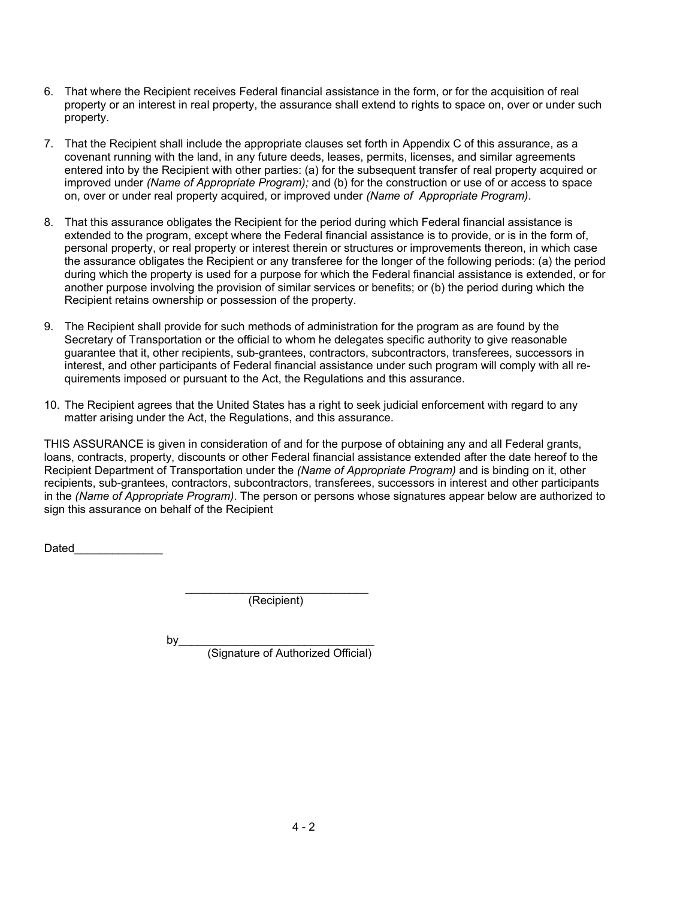- 6. That where the Recipient receives Federal financial assistance in the form, or for the acquisition of real property or an interest in real property, the assurance shall extend to rights to space on, over or under such property.
- 7. That the Recipient shall include the appropriate clauses set forth in Appendix C of this assurance, as a covenant running with the land, in any future deeds, leases, permits, licenses, and similar agreements entered into by the Recipient with other parties: (a) for the subsequent transfer of real property acquired or improved under *(Name of Appropriate Program);* and (b) for the construction or use of or access to space on, over or under real property acquired, or improved under *(Name of Appropriate Program)*.
- 8. That this assurance obligates the Recipient for the period during which Federal financial assistance is extended to the program, except where the Federal financial assistance is to provide, or is in the form of, personal property, or real property or interest therein or structures or improvements thereon, in which case the assurance obligates the Recipient or any transferee for the longer of the following periods: (a) the period during which the property is used for a purpose for which the Federal financial assistance is extended, or for another purpose involving the provision of similar services or benefits; or (b) the period during which the Recipient retains ownership or possession of the property.
- 9. The Recipient shall provide for such methods of administration for the program as are found by the Secretary of Transportation or the official to whom he delegates specific authority to give reasonable guarantee that it, other recipients, sub-grantees, contractors, subcontractors, transferees, successors in interest, and other participants of Federal financial assistance under such program will comply with all requirements imposed or pursuant to the Act, the Regulations and this assurance.
- 10. The Recipient agrees that the United States has a right to seek judicial enforcement with regard to any matter arising under the Act, the Regulations, and this assurance.

THIS ASSURANCE is given in consideration of and for the purpose of obtaining any and all Federal grants, loans, contracts, property, discounts or other Federal financial assistance extended after the date hereof to the Recipient Department of Transportation under the *(Name of Appropriate Program)* and is binding on it, other recipients, sub-grantees, contractors, subcontractors, transferees, successors in interest and other participants in the *(Name of Appropriate Program)*. The person or persons whose signatures appear below are authorized to sign this assurance on behalf of the Recipient

Dated

 $\mathcal{L}=\frac{1}{2}$  , where  $\mathcal{L}=\frac{1}{2}$  , where  $\mathcal{L}=\frac{1}{2}$ (Recipient)

by  $\Box$ 

(Signature of Authorized Official)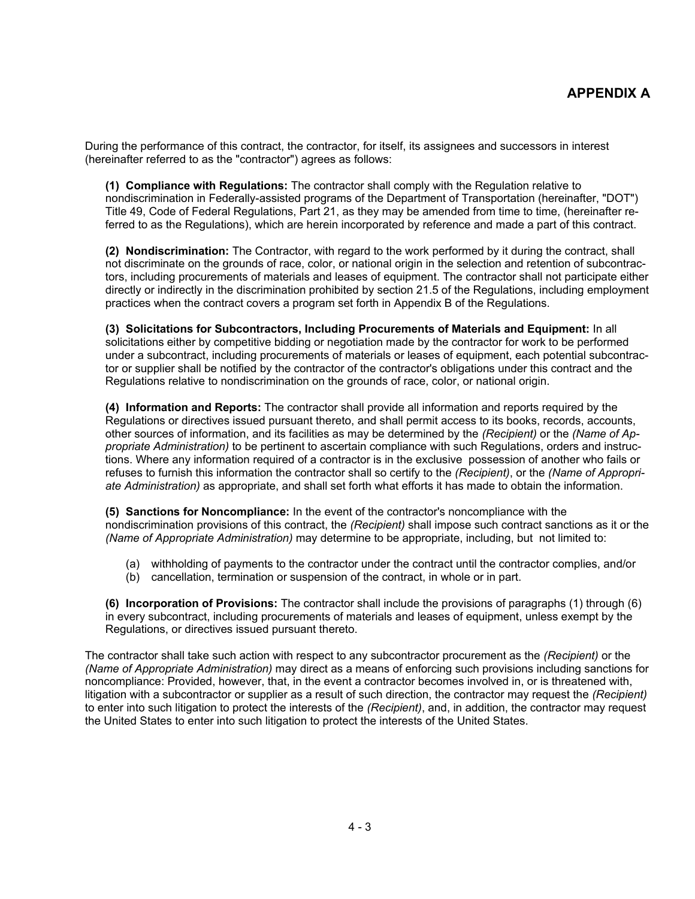During the performance of this contract, the contractor, for itself, its assignees and successors in interest (hereinafter referred to as the "contractor") agrees as follows:

 **(1) Compliance with Regulations:** The contractor shall comply with the Regulation relative to nondiscrimination in Federally-assisted programs of the Department of Transportation (hereinafter, "DOT") Title 49, Code of Federal Regulations, Part 21, as they may be amended from time to time, (hereinafter referred to as the Regulations), which are herein incorporated by reference and made a part of this contract.

 **(2) Nondiscrimination:** The Contractor, with regard to the work performed by it during the contract, shall not discriminate on the grounds of race, color, or national origin in the selection and retention of subcontractors, including procurements of materials and leases of equipment. The contractor shall not participate either directly or indirectly in the discrimination prohibited by section 21.5 of the Regulations, including employment practices when the contract covers a program set forth in Appendix B of the Regulations.

 **(3) Solicitations for Subcontractors, Including Procurements of Materials and Equipment:** In all solicitations either by competitive bidding or negotiation made by the contractor for work to be performed under a subcontract, including procurements of materials or leases of equipment, each potential subcontractor or supplier shall be notified by the contractor of the contractor's obligations under this contract and the Regulations relative to nondiscrimination on the grounds of race, color, or national origin.

 **(4) Information and Reports:** The contractor shall provide all information and reports required by the Regulations or directives issued pursuant thereto, and shall permit access to its books, records, accounts, other sources of information, and its facilities as may be determined by the *(Recipient)* or the *(Name of Appropriate Administration)* to be pertinent to ascertain compliance with such Regulations, orders and instructions. Where any information required of a contractor is in the exclusive possession of another who fails or refuses to furnish this information the contractor shall so certify to the *(Recipient)*, or the *(Name of Appropriate Administration)* as appropriate, and shall set forth what efforts it has made to obtain the information.

 **(5) Sanctions for Noncompliance:** In the event of the contractor's noncompliance with the nondiscrimination provisions of this contract, the *(Recipient)* shall impose such contract sanctions as it or the *(Name of Appropriate Administration)* may determine to be appropriate, including, but not limited to:

- (a) withholding of payments to the contractor under the contract until the contractor complies, and/or
- (b) cancellation, termination or suspension of the contract, in whole or in part.

 **(6) Incorporation of Provisions:** The contractor shall include the provisions of paragraphs (1) through (6) in every subcontract, including procurements of materials and leases of equipment, unless exempt by the Regulations, or directives issued pursuant thereto.

The contractor shall take such action with respect to any subcontractor procurement as the *(Recipient)* or the *(Name of Appropriate Administration)* may direct as a means of enforcing such provisions including sanctions for noncompliance: Provided, however, that, in the event a contractor becomes involved in, or is threatened with, litigation with a subcontractor or supplier as a result of such direction, the contractor may request the *(Recipient)* to enter into such litigation to protect the interests of the *(Recipient)*, and, in addition, the contractor may request the United States to enter into such litigation to protect the interests of the United States.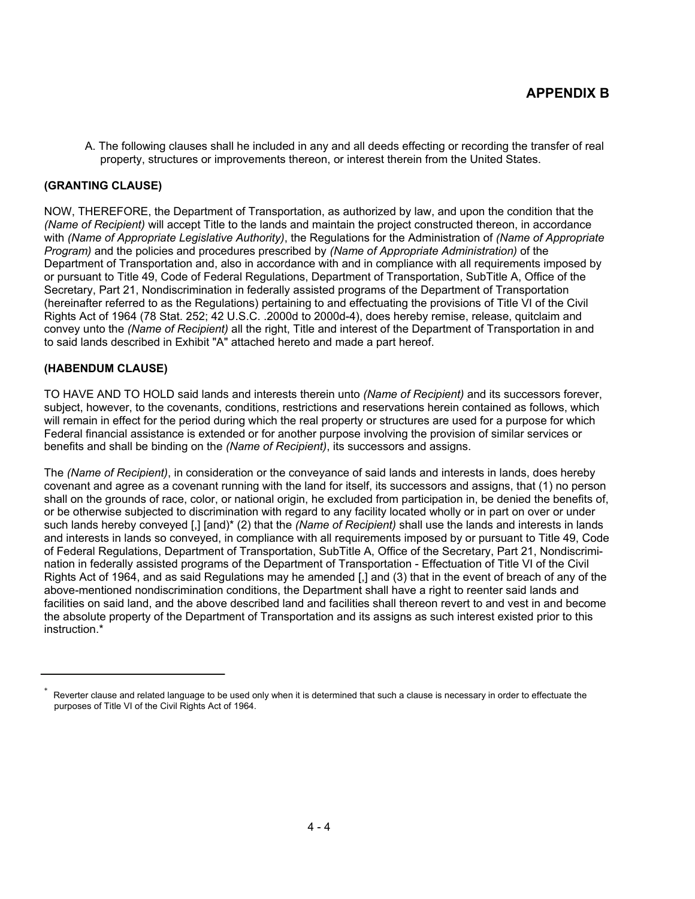A. The following clauses shall he included in any and all deeds effecting or recording the transfer of real property, structures or improvements thereon, or interest therein from the United States.

### **(GRANTING CLAUSE)**

NOW, THEREFORE, the Department of Transportation, as authorized by law, and upon the condition that the *(Name of Recipient)* will accept Title to the lands and maintain the project constructed thereon, in accordance with *(Name of Appropriate Legislative Authority)*, the Regulations for the Administration of *(Name of Appropriate Program)* and the policies and procedures prescribed by *(Name of Appropriate Administration)* of the Department of Transportation and, also in accordance with and in compliance with all requirements imposed by or pursuant to Title 49, Code of Federal Regulations, Department of Transportation, SubTitle A, Office of the Secretary, Part 21, Nondiscrimination in federally assisted programs of the Department of Transportation (hereinafter referred to as the Regulations) pertaining to and effectuating the provisions of Title VI of the Civil Rights Act of 1964 (78 Stat. 252; 42 U.S.C. .2000d to 2000d-4), does hereby remise, release, quitclaim and convey unto the *(Name of Recipient)* all the right, Title and interest of the Department of Transportation in and to said lands described in Exhibit "A" attached hereto and made a part hereof.

### **(HABENDUM CLAUSE)**

TO HAVE AND TO HOLD said lands and interests therein unto *(Name of Recipient)* and its successors forever, subject, however, to the covenants, conditions, restrictions and reservations herein contained as follows, which will remain in effect for the period during which the real property or structures are used for a purpose for which Federal financial assistance is extended or for another purpose involving the provision of similar services or benefits and shall be binding on the *(Name of Recipient)*, its successors and assigns.

The *(Name of Recipient)*, in consideration or the conveyance of said lands and interests in lands, does hereby covenant and agree as a covenant running with the land for itself, its successors and assigns, that (1) no person shall on the grounds of race, color, or national origin, he excluded from participation in, be denied the benefits of, or be otherwise subjected to discrimination with regard to any facility located wholly or in part on over or under such lands hereby conveyed [,] [and)\* (2) that the *(Name of Recipient)* shall use the lands and interests in lands and interests in lands so conveyed, in compliance with all requirements imposed by or pursuant to Title 49, Code of Federal Regulations, Department of Transportation, SubTitle A, Office of the Secretary, Part 21, Nondiscrimination in federally assisted programs of the Department of Transportation - Effectuation of Title VI of the Civil Rights Act of 1964, and as said Regulations may he amended [,] and (3) that in the event of breach of any of the above-mentioned nondiscrimination conditions, the Department shall have a right to reenter said lands and facilities on said land, and the above described land and facilities shall thereon revert to and vest in and become the absolute property of the Department of Transportation and its assigns as such interest existed prior to this instruction.\*

<sup>\*</sup> Reverter clause and related language to be used only when it is determined that such a clause is necessary in order to effectuate the purposes of Title VI of the Civil Rights Act of 1964.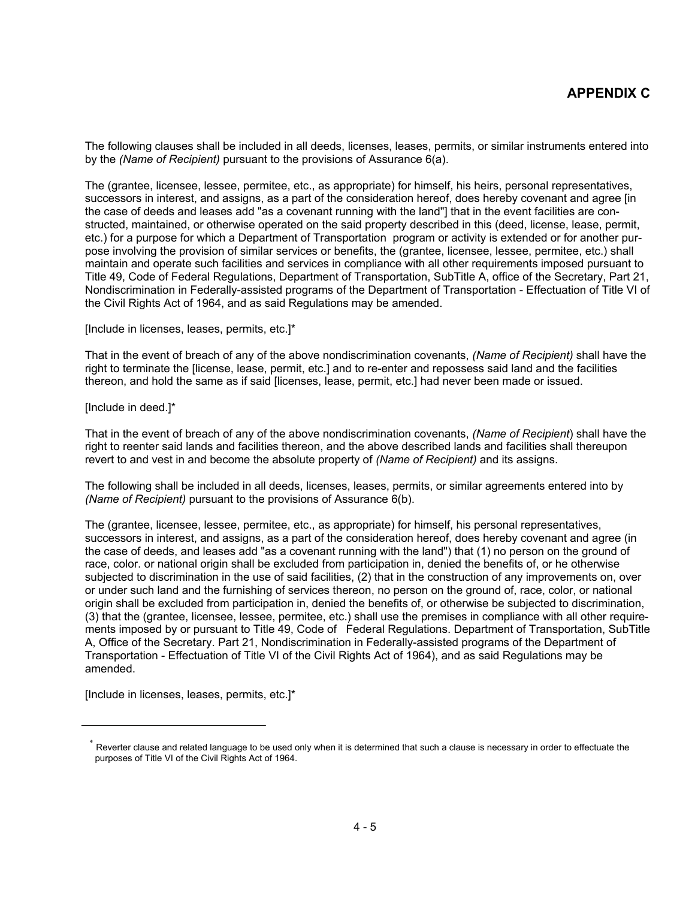The following clauses shall be included in all deeds, licenses, leases, permits, or similar instruments entered into by the *(Name of Recipient)* pursuant to the provisions of Assurance 6(a).

The (grantee, licensee, lessee, permitee, etc., as appropriate) for himself, his heirs, personal representatives, successors in interest, and assigns, as a part of the consideration hereof, does hereby covenant and agree [in the case of deeds and leases add "as a covenant running with the land"] that in the event facilities are constructed, maintained, or otherwise operated on the said property described in this (deed, license, lease, permit, etc.) for a purpose for which a Department of Transportation program or activity is extended or for another purpose involving the provision of similar services or benefits, the (grantee, licensee, lessee, permitee, etc.) shall maintain and operate such facilities and services in compliance with all other requirements imposed pursuant to Title 49, Code of Federal Regulations, Department of Transportation, SubTitle A, office of the Secretary, Part 21, Nondiscrimination in Federally-assisted programs of the Department of Transportation - Effectuation of Title VI of the Civil Rights Act of 1964, and as said Regulations may be amended.

[Include in licenses, leases, permits, etc.]\*

That in the event of breach of any of the above nondiscrimination covenants, *(Name of Recipient)* shall have the right to terminate the [license, lease, permit, etc.] and to re-enter and repossess said land and the facilities thereon, and hold the same as if said [licenses, lease, permit, etc.] had never been made or issued.

[Include in deed.]\*

That in the event of breach of any of the above nondiscrimination covenants, *(Name of Recipient*) shall have the right to reenter said lands and facilities thereon, and the above described lands and facilities shall thereupon revert to and vest in and become the absolute property of *(Name of Recipient)* and its assigns.

The following shall be included in all deeds, licenses, leases, permits, or similar agreements entered into by *(Name of Recipient)* pursuant to the provisions of Assurance 6(b).

The (grantee, licensee, lessee, permitee, etc., as appropriate) for himself, his personal representatives, successors in interest, and assigns, as a part of the consideration hereof, does hereby covenant and agree (in the case of deeds, and leases add "as a covenant running with the land") that (1) no person on the ground of race, color. or national origin shall be excluded from participation in, denied the benefits of, or he otherwise subjected to discrimination in the use of said facilities, (2) that in the construction of any improvements on, over or under such land and the furnishing of services thereon, no person on the ground of, race, color, or national origin shall be excluded from participation in, denied the benefits of, or otherwise be subjected to discrimination, (3) that the (grantee, licensee, lessee, permitee, etc.) shall use the premises in compliance with all other requirements imposed by or pursuant to Title 49, Code of Federal Regulations. Department of Transportation, SubTitle A, Office of the Secretary. Part 21, Nondiscrimination in Federally-assisted programs of the Department of Transportation - Effectuation of Title VI of the Civil Rights Act of 1964), and as said Regulations may be amended.

[Include in licenses, leases, permits, etc.]\*

Reverter clause and related language to be used only when it is determined that such a clause is necessary in order to effectuate the purposes of Title VI of the Civil Rights Act of 1964.